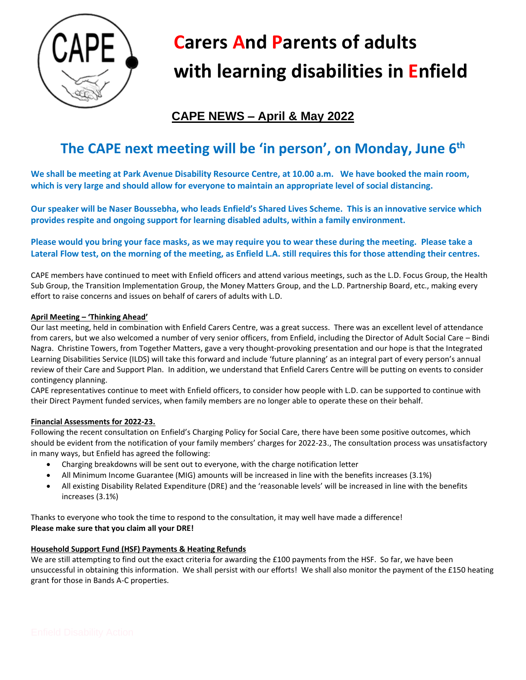

# **Carers And Parents of adults with learning disabilities in Enfield**

### **CAPE NEWS – April & May 2022**

### **The CAPE next meeting will be 'in person', on Monday, June 6 th**

**We shall be meeting at Park Avenue Disability Resource Centre, at 10.00 a.m. We have booked the main room, which is very large and should allow for everyone to maintain an appropriate level of social distancing.** 

**Our speaker will be Naser Boussebha, who leads Enfield's Shared Lives Scheme. This is an innovative service which provides respite and ongoing support for learning disabled adults, within a family environment.**

**Please would you bring your face masks, as we may require you to wear these during the meeting. Please take a Lateral Flow test, on the morning of the meeting, as Enfield L.A. still requires this for those attending their centres.**

CAPE members have continued to meet with Enfield officers and attend various meetings, such as the L.D. Focus Group, the Health Sub Group, the Transition Implementation Group, the Money Matters Group, and the L.D. Partnership Board, etc., making every effort to raise concerns and issues on behalf of carers of adults with L.D.

### **April Meeting – 'Thinking Ahead'**

Our last meeting, held in combination with Enfield Carers Centre, was a great success. There was an excellent level of attendance from carers, but we also welcomed a number of very senior officers, from Enfield, including the Director of Adult Social Care – Bindi Nagra. Christine Towers, from Together Matters, gave a very thought-provoking presentation and our hope is that the Integrated Learning Disabilities Service (ILDS) will take this forward and include 'future planning' as an integral part of every person's annual review of their Care and Support Plan. In addition, we understand that Enfield Carers Centre will be putting on events to consider contingency planning.

CAPE representatives continue to meet with Enfield officers, to consider how people with L.D. can be supported to continue with their Direct Payment funded services, when family members are no longer able to operate these on their behalf.

### **Financial Assessments for 2022-23.**

Following the recent consultation on Enfield's Charging Policy for Social Care, there have been some positive outcomes, which should be evident from the notification of your family members' charges for 2022-23., The consultation process was unsatisfactory in many ways, but Enfield has agreed the following:

- Charging breakdowns will be sent out to everyone, with the charge notification letter
- All Minimum Income Guarantee (MIG) amounts will be increased in line with the benefits increases (3.1%)
- All existing Disability Related Expenditure (DRE) and the 'reasonable levels' will be increased in line with the benefits increases (3.1%)

Thanks to everyone who took the time to respond to the consultation, it may well have made a difference! **Please make sure that you claim all your DRE!**

### **Household Support Fund (HSF) Payments & Heating Refunds**

We are still attempting to find out the exact criteria for awarding the £100 payments from the HSF. So far, we have been unsuccessful in obtaining this information. We shall persist with our efforts! We shall also monitor the payment of the £150 heating grant for those in Bands A-C properties.